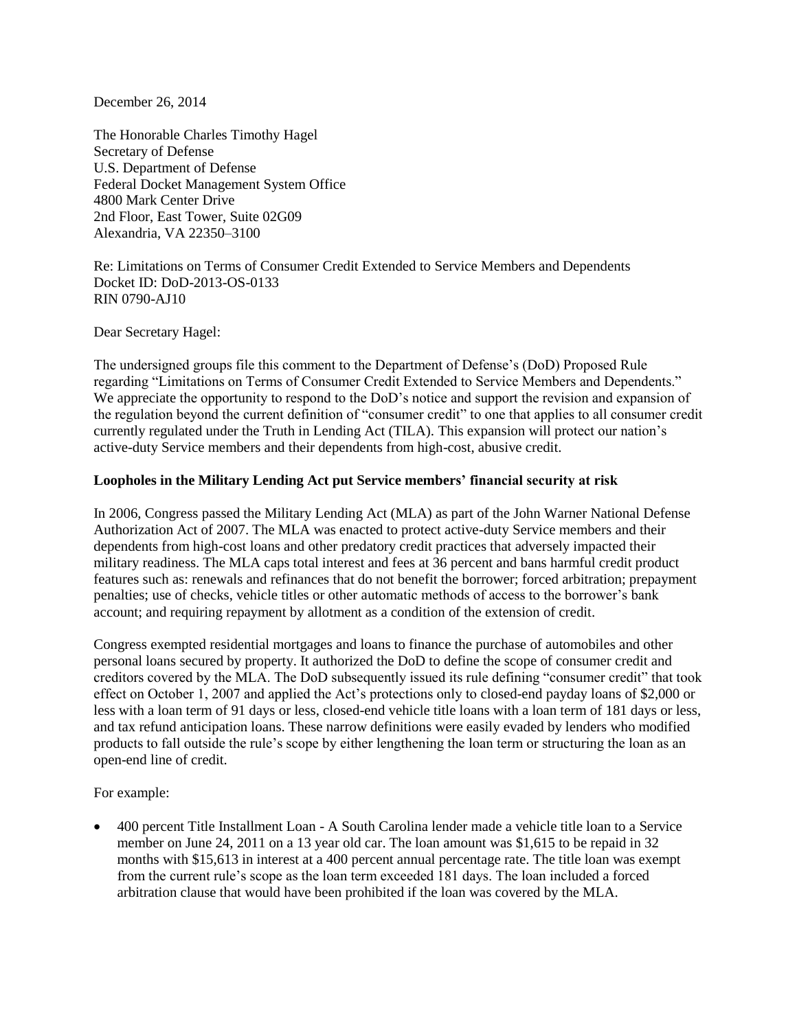December 26, 2014

The Honorable Charles Timothy Hagel Secretary of Defense U.S. Department of Defense Federal Docket Management System Office 4800 Mark Center Drive 2nd Floor, East Tower, Suite 02G09 Alexandria, VA 22350–3100

Re: Limitations on Terms of Consumer Credit Extended to Service Members and Dependents Docket ID: DoD-2013-OS-0133 RIN 0790-AJ10

Dear Secretary Hagel:

The undersigned groups file this comment to the Department of Defense's (DoD) Proposed Rule regarding "Limitations on Terms of Consumer Credit Extended to Service Members and Dependents." We appreciate the opportunity to respond to the DoD's notice and support the revision and expansion of the regulation beyond the current definition of "consumer credit" to one that applies to all consumer credit currently regulated under the Truth in Lending Act (TILA). This expansion will protect our nation's active-duty Service members and their dependents from high-cost, abusive credit.

## **Loopholes in the Military Lending Act put Service members' financial security at risk**

In 2006, Congress passed the Military Lending Act (MLA) as part of the John Warner National Defense Authorization Act of 2007. The MLA was enacted to protect active-duty Service members and their dependents from high-cost loans and other predatory credit practices that adversely impacted their military readiness. The MLA caps total interest and fees at 36 percent and bans harmful credit product features such as: renewals and refinances that do not benefit the borrower; forced arbitration; prepayment penalties; use of checks, vehicle titles or other automatic methods of access to the borrower's bank account; and requiring repayment by allotment as a condition of the extension of credit.

Congress exempted residential mortgages and loans to finance the purchase of automobiles and other personal loans secured by property. It authorized the DoD to define the scope of consumer credit and creditors covered by the MLA. The DoD subsequently issued its rule defining "consumer credit" that took effect on October 1, 2007 and applied the Act's protections only to closed-end payday loans of \$2,000 or less with a loan term of 91 days or less, closed-end vehicle title loans with a loan term of 181 days or less, and tax refund anticipation loans. These narrow definitions were easily evaded by lenders who modified products to fall outside the rule's scope by either lengthening the loan term or structuring the loan as an open-end line of credit.

For example:

 400 percent Title Installment Loan - A South Carolina lender made a vehicle title loan to a Service member on June 24, 2011 on a 13 year old car. The loan amount was \$1,615 to be repaid in 32 months with \$15,613 in interest at a 400 percent annual percentage rate. The title loan was exempt from the current rule's scope as the loan term exceeded 181 days. The loan included a forced arbitration clause that would have been prohibited if the loan was covered by the MLA.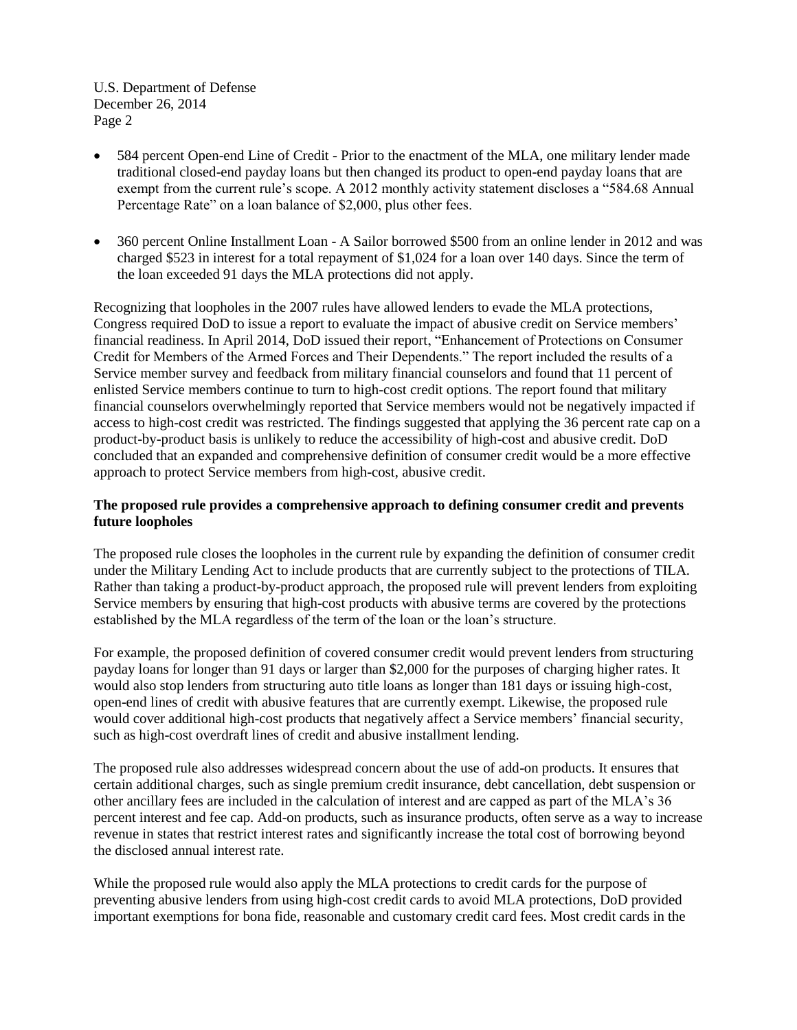- 584 percent Open-end Line of Credit Prior to the enactment of the MLA, one military lender made traditional closed-end payday loans but then changed its product to open-end payday loans that are exempt from the current rule's scope. A 2012 monthly activity statement discloses a "584.68 Annual Percentage Rate" on a loan balance of \$2,000, plus other fees.
- 360 percent Online Installment Loan A Sailor borrowed \$500 from an online lender in 2012 and was charged \$523 in interest for a total repayment of \$1,024 for a loan over 140 days. Since the term of the loan exceeded 91 days the MLA protections did not apply.

Recognizing that loopholes in the 2007 rules have allowed lenders to evade the MLA protections, Congress required DoD to issue a report to evaluate the impact of abusive credit on Service members' financial readiness. In April 2014, DoD issued their report, "Enhancement of Protections on Consumer Credit for Members of the Armed Forces and Their Dependents." The report included the results of a Service member survey and feedback from military financial counselors and found that 11 percent of enlisted Service members continue to turn to high-cost credit options. The report found that military financial counselors overwhelmingly reported that Service members would not be negatively impacted if access to high-cost credit was restricted. The findings suggested that applying the 36 percent rate cap on a product-by-product basis is unlikely to reduce the accessibility of high-cost and abusive credit. DoD concluded that an expanded and comprehensive definition of consumer credit would be a more effective approach to protect Service members from high-cost, abusive credit.

# **The proposed rule provides a comprehensive approach to defining consumer credit and prevents future loopholes**

The proposed rule closes the loopholes in the current rule by expanding the definition of consumer credit under the Military Lending Act to include products that are currently subject to the protections of TILA. Rather than taking a product-by-product approach, the proposed rule will prevent lenders from exploiting Service members by ensuring that high-cost products with abusive terms are covered by the protections established by the MLA regardless of the term of the loan or the loan's structure.

For example, the proposed definition of covered consumer credit would prevent lenders from structuring payday loans for longer than 91 days or larger than \$2,000 for the purposes of charging higher rates. It would also stop lenders from structuring auto title loans as longer than 181 days or issuing high-cost, open-end lines of credit with abusive features that are currently exempt. Likewise, the proposed rule would cover additional high-cost products that negatively affect a Service members' financial security, such as high-cost overdraft lines of credit and abusive installment lending.

The proposed rule also addresses widespread concern about the use of add-on products. It ensures that certain additional charges, such as single premium credit insurance, debt cancellation, debt suspension or other ancillary fees are included in the calculation of interest and are capped as part of the MLA's 36 percent interest and fee cap. Add-on products, such as insurance products, often serve as a way to increase revenue in states that restrict interest rates and significantly increase the total cost of borrowing beyond the disclosed annual interest rate.

While the proposed rule would also apply the MLA protections to credit cards for the purpose of preventing abusive lenders from using high-cost credit cards to avoid MLA protections, DoD provided important exemptions for bona fide, reasonable and customary credit card fees. Most credit cards in the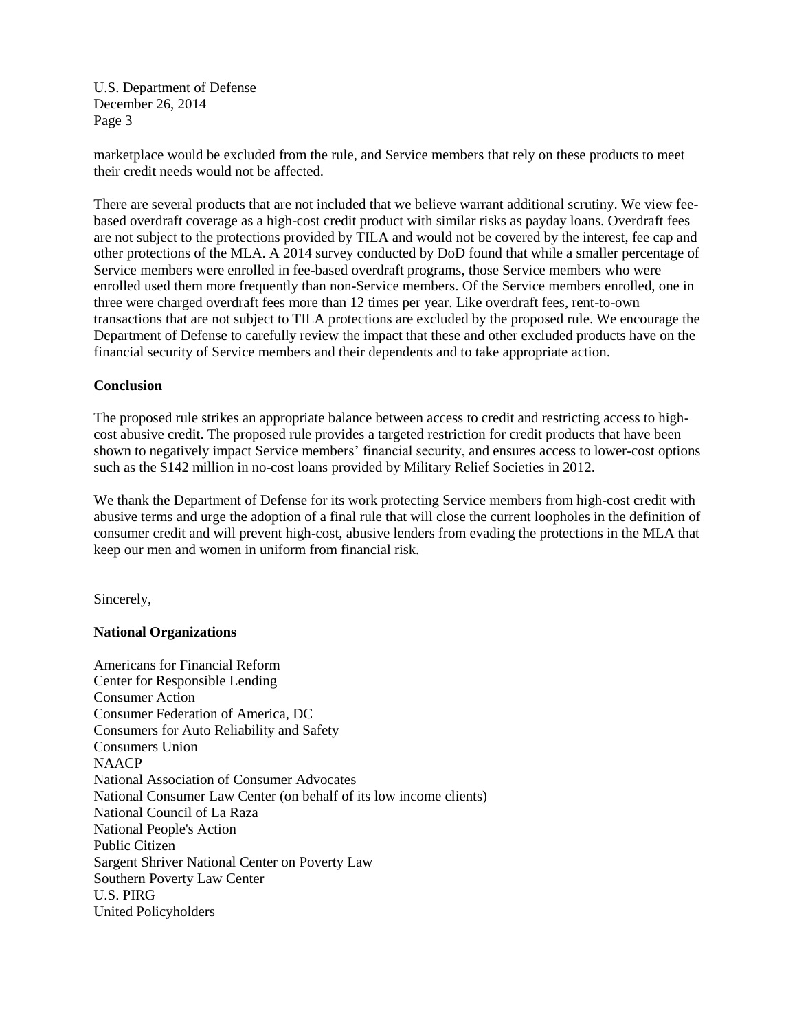marketplace would be excluded from the rule, and Service members that rely on these products to meet their credit needs would not be affected.

There are several products that are not included that we believe warrant additional scrutiny. We view feebased overdraft coverage as a high-cost credit product with similar risks as payday loans. Overdraft fees are not subject to the protections provided by TILA and would not be covered by the interest, fee cap and other protections of the MLA. A 2014 survey conducted by DoD found that while a smaller percentage of Service members were enrolled in fee-based overdraft programs, those Service members who were enrolled used them more frequently than non-Service members. Of the Service members enrolled, one in three were charged overdraft fees more than 12 times per year. Like overdraft fees, rent-to-own transactions that are not subject to TILA protections are excluded by the proposed rule. We encourage the Department of Defense to carefully review the impact that these and other excluded products have on the financial security of Service members and their dependents and to take appropriate action.

# **Conclusion**

The proposed rule strikes an appropriate balance between access to credit and restricting access to highcost abusive credit. The proposed rule provides a targeted restriction for credit products that have been shown to negatively impact Service members' financial security, and ensures access to lower-cost options such as the \$142 million in no-cost loans provided by Military Relief Societies in 2012.

We thank the Department of Defense for its work protecting Service members from high-cost credit with abusive terms and urge the adoption of a final rule that will close the current loopholes in the definition of consumer credit and will prevent high-cost, abusive lenders from evading the protections in the MLA that keep our men and women in uniform from financial risk.

Sincerely,

## **National Organizations**

Americans for Financial Reform Center for Responsible Lending Consumer Action Consumer Federation of America, DC Consumers for Auto Reliability and Safety Consumers Union NAACP National Association of Consumer Advocates National Consumer Law Center (on behalf of its low income clients) National Council of La Raza National People's Action Public Citizen Sargent Shriver National Center on Poverty Law Southern Poverty Law Center U.S. PIRG United Policyholders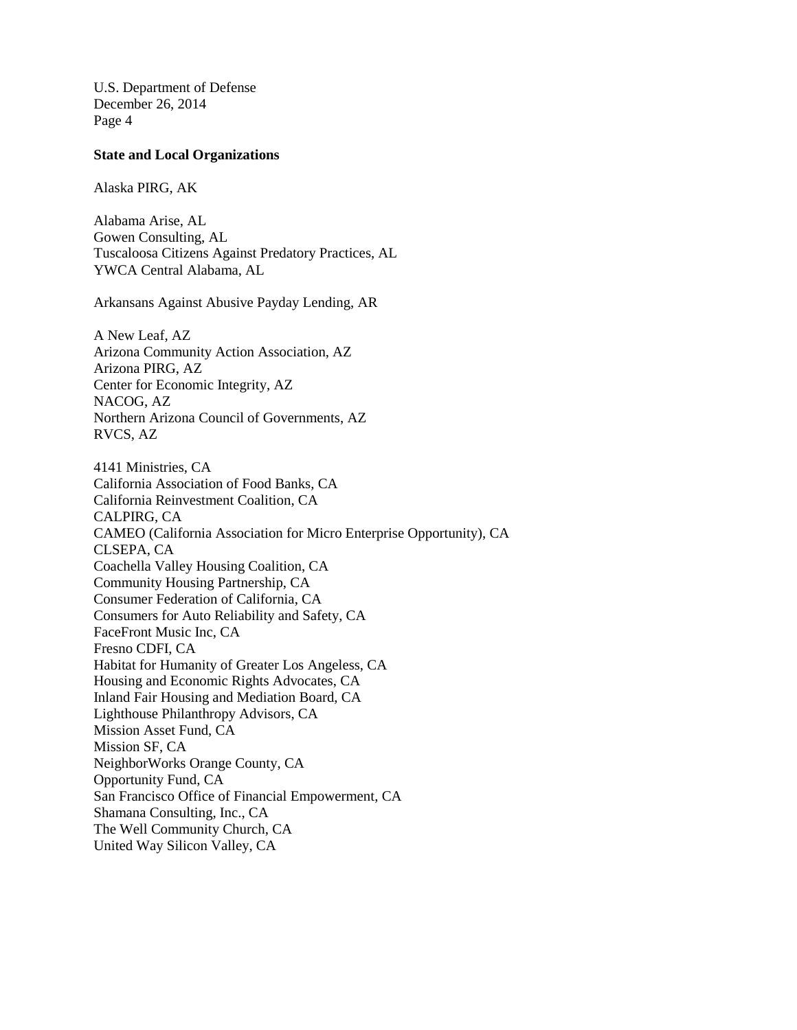#### **State and Local Organizations**

Alaska PIRG, AK

Alabama Arise, AL Gowen Consulting, AL Tuscaloosa Citizens Against Predatory Practices, AL YWCA Central Alabama, AL

Arkansans Against Abusive Payday Lending, AR

A New Leaf, AZ Arizona Community Action Association, AZ Arizona PIRG, AZ Center for Economic Integrity, AZ NACOG, AZ Northern Arizona Council of Governments, AZ RVCS, AZ

4141 Ministries, CA California Association of Food Banks, CA California Reinvestment Coalition, CA CALPIRG, CA CAMEO (California Association for Micro Enterprise Opportunity), CA CLSEPA, CA Coachella Valley Housing Coalition, CA Community Housing Partnership, CA Consumer Federation of California, CA Consumers for Auto Reliability and Safety, CA FaceFront Music Inc, CA Fresno CDFI, CA Habitat for Humanity of Greater Los Angeless, CA Housing and Economic Rights Advocates, CA Inland Fair Housing and Mediation Board, CA Lighthouse Philanthropy Advisors, CA Mission Asset Fund, CA Mission SF, CA NeighborWorks Orange County, CA Opportunity Fund, CA San Francisco Office of Financial Empowerment, CA Shamana Consulting, Inc., CA The Well Community Church, CA United Way Silicon Valley, CA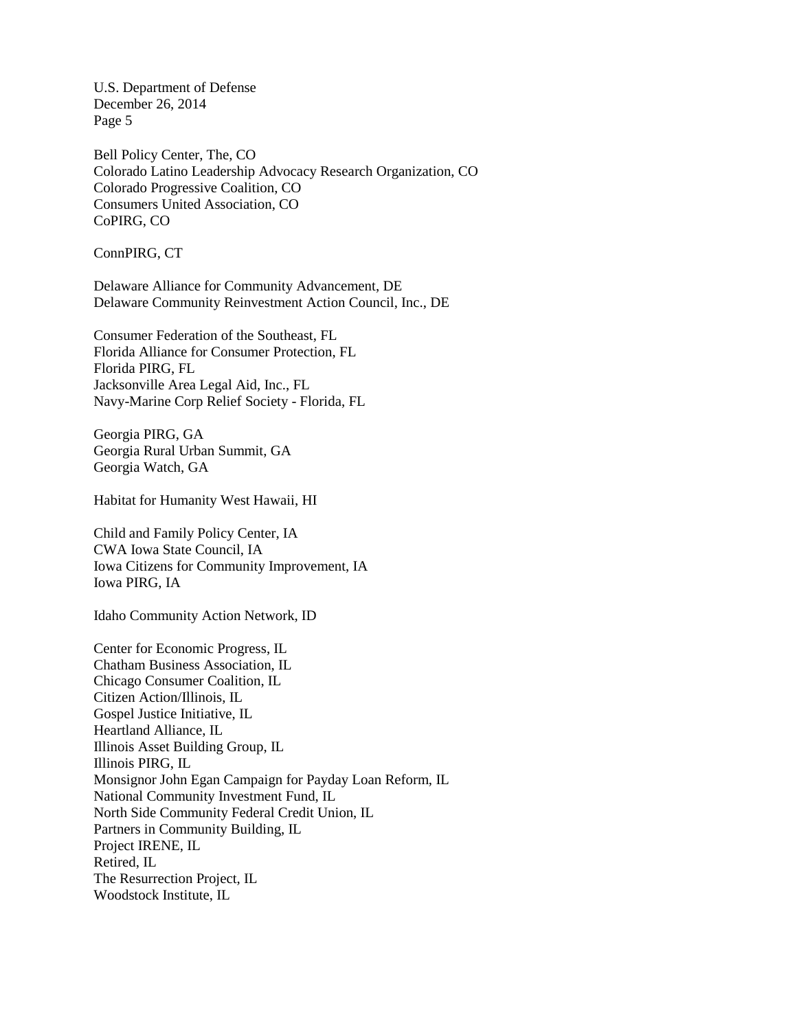Bell Policy Center, The, CO Colorado Latino Leadership Advocacy Research Organization, CO Colorado Progressive Coalition, CO Consumers United Association, CO CoPIRG, CO

ConnPIRG, CT

Delaware Alliance for Community Advancement, DE Delaware Community Reinvestment Action Council, Inc., DE

Consumer Federation of the Southeast, FL Florida Alliance for Consumer Protection, FL Florida PIRG, FL Jacksonville Area Legal Aid, Inc., FL Navy-Marine Corp Relief Society - Florida, FL

Georgia PIRG, GA Georgia Rural Urban Summit, GA Georgia Watch, GA

Habitat for Humanity West Hawaii, HI

Child and Family Policy Center, IA CWA Iowa State Council, IA Iowa Citizens for Community Improvement, IA Iowa PIRG, IA

Idaho Community Action Network, ID

Center for Economic Progress, IL Chatham Business Association, IL Chicago Consumer Coalition, IL Citizen Action/Illinois, IL Gospel Justice Initiative, IL Heartland Alliance, IL Illinois Asset Building Group, IL Illinois PIRG, IL Monsignor John Egan Campaign for Payday Loan Reform, IL National Community Investment Fund, IL North Side Community Federal Credit Union, IL Partners in Community Building, IL Project IRENE, IL Retired, IL The Resurrection Project, IL Woodstock Institute, IL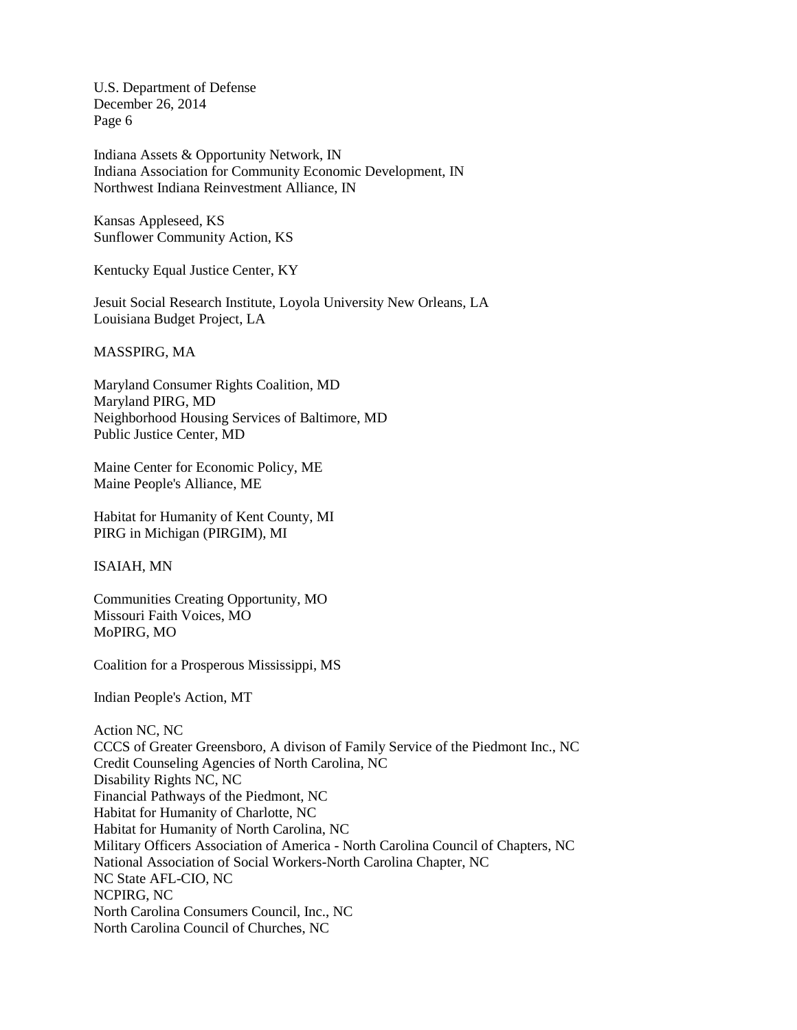Indiana Assets & Opportunity Network, IN Indiana Association for Community Economic Development, IN Northwest Indiana Reinvestment Alliance, IN

Kansas Appleseed, KS Sunflower Community Action, KS

Kentucky Equal Justice Center, KY

Jesuit Social Research Institute, Loyola University New Orleans, LA Louisiana Budget Project, LA

MASSPIRG, MA

Maryland Consumer Rights Coalition, MD Maryland PIRG, MD Neighborhood Housing Services of Baltimore, MD Public Justice Center, MD

Maine Center for Economic Policy, ME Maine People's Alliance, ME

Habitat for Humanity of Kent County, MI PIRG in Michigan (PIRGIM), MI

ISAIAH, MN

Communities Creating Opportunity, MO Missouri Faith Voices, MO MoPIRG, MO

Coalition for a Prosperous Mississippi, MS

Indian People's Action, MT

Action NC, NC CCCS of Greater Greensboro, A divison of Family Service of the Piedmont Inc., NC Credit Counseling Agencies of North Carolina, NC Disability Rights NC, NC Financial Pathways of the Piedmont, NC Habitat for Humanity of Charlotte, NC Habitat for Humanity of North Carolina, NC Military Officers Association of America - North Carolina Council of Chapters, NC National Association of Social Workers-North Carolina Chapter, NC NC State AFL-CIO, NC NCPIRG, NC North Carolina Consumers Council, Inc., NC North Carolina Council of Churches, NC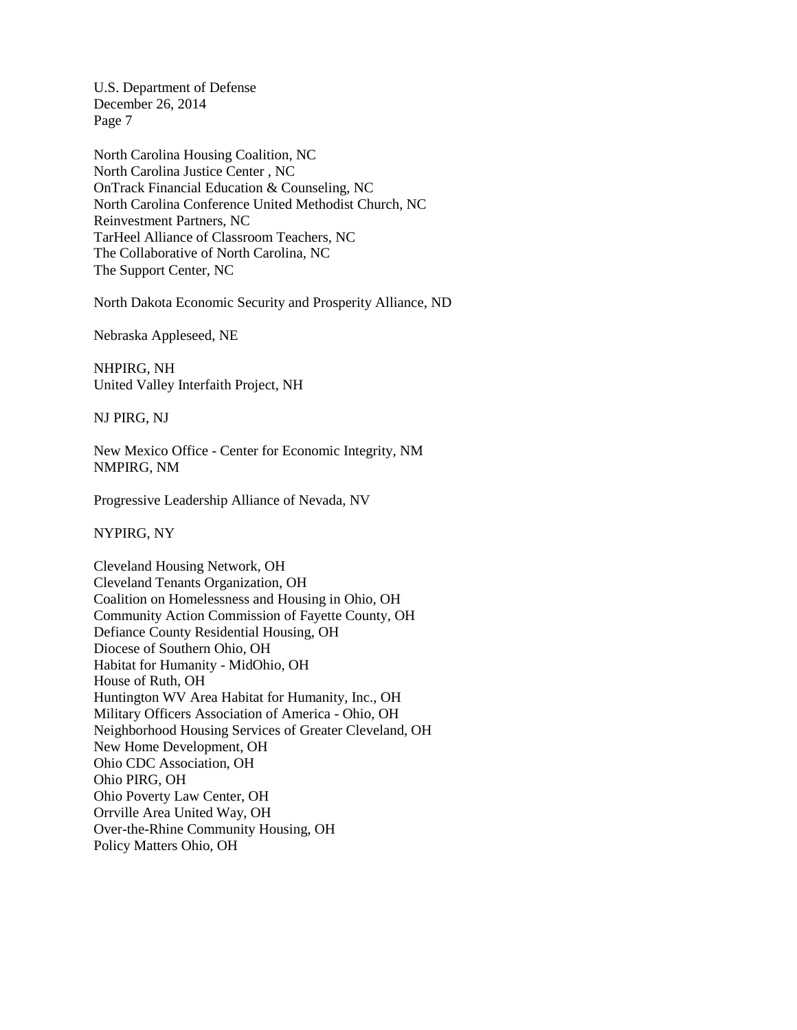North Carolina Housing Coalition, NC North Carolina Justice Center , NC OnTrack Financial Education & Counseling, NC North Carolina Conference United Methodist Church, NC Reinvestment Partners, NC TarHeel Alliance of Classroom Teachers, NC The Collaborative of North Carolina, NC The Support Center, NC

North Dakota Economic Security and Prosperity Alliance, ND

Nebraska Appleseed, NE

NHPIRG, NH United Valley Interfaith Project, NH

NJ PIRG, NJ

New Mexico Office - Center for Economic Integrity, NM NMPIRG, NM

Progressive Leadership Alliance of Nevada, NV

NYPIRG, NY

Cleveland Housing Network, OH Cleveland Tenants Organization, OH Coalition on Homelessness and Housing in Ohio, OH Community Action Commission of Fayette County, OH Defiance County Residential Housing, OH Diocese of Southern Ohio, OH Habitat for Humanity - MidOhio, OH House of Ruth, OH Huntington WV Area Habitat for Humanity, Inc., OH Military Officers Association of America - Ohio, OH Neighborhood Housing Services of Greater Cleveland, OH New Home Development, OH Ohio CDC Association, OH Ohio PIRG, OH Ohio Poverty Law Center, OH Orrville Area United Way, OH Over-the-Rhine Community Housing, OH Policy Matters Ohio, OH